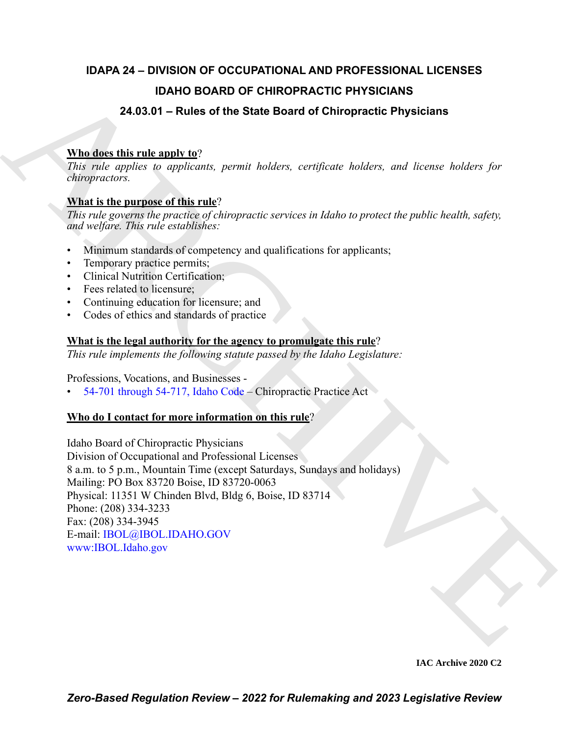# **IDAPA 24 – DIVISION OF OCCUPATIONAL AND PROFESSIONAL LICENSES IDAHO BOARD OF CHIROPRACTIC PHYSICIANS**

# **24.03.01 – Rules of the State Board of Chiropractic Physicians**

# **Who does this rule apply to**?

*This rule applies to applicants, permit holders, certificate holders, and license holders for chiropractors.*

# **What is the purpose of this rule**?

*This rule governs the practice of chiropractic services in Idaho to protect the public health, safety, and welfare. This rule establishes:*

- Minimum standards of competency and qualifications for applicants;
- Temporary practice permits;
- Clinical Nutrition Certification;
- Fees related to licensure;
- Continuing education for licensure; and
- Codes of ethics and standards of practice

# **What is the legal authority for the agency to promulgate this rule**?

*This rule implements the following statute passed by the Idaho Legislature:*

Professions, Vocations, and Businesses -

• 54-701 through 54-717, Idaho Code – Chiropractic Practice Act

## **Who do I contact for more information on this rule**?

**IDA[H](https://legislature.idaho.gov/statutesrules/idstat/Title54/T54CH7/)O BOARD OF CHIROPRACTIC PHYSICIANS**<br> **24.03.01 – Rules of the State Board of Chiropractic Physicians**<br> **ARM discussions**<br> **ARCHI[VE](mailto: IBOL@IBOL.IDAHO.GOV) CONSULTERED ARCHIVE CONSULTS**<br> **ARCHIVE CONSULTS**<br> **ARCHIVE CONSULTS**<br> **ARCHIVE CONSU** Idaho Board of Chiropractic Physicians Division of Occupational and Professional Licenses 8 a.m. to 5 p.m., Mountain Time (except Saturdays, Sundays and holidays) Mailing: PO Box 83720 Boise, ID 83720-0063 Physical: 11351 W Chinden Blvd, Bldg 6, Boise, ID 83714 Phone: (208) 334-3233 Fax: (208) 334-3945 E-mail: IBOL@IBOL.IDAHO.GOV www:IBOL.Idaho.gov

**IAC Archive 2020 C2**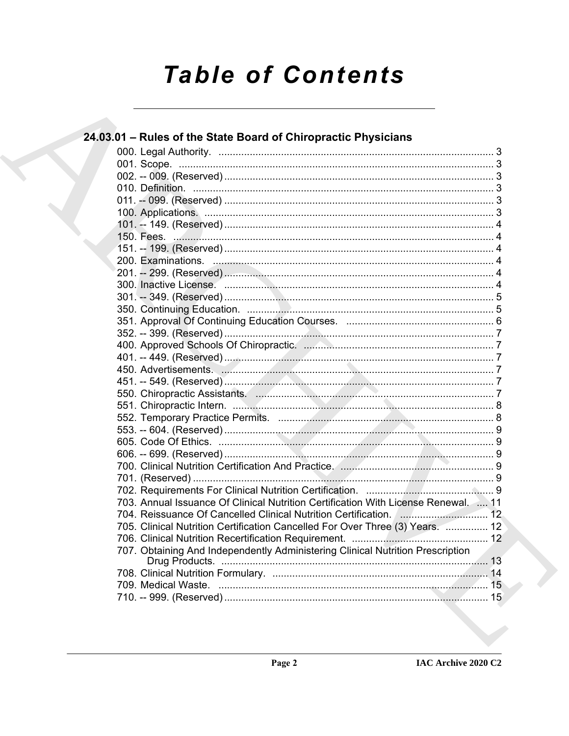# **Table of Contents**

|  | 24.03.01 - Rules of the State Board of Chiropractic Physicians                     |  |
|--|------------------------------------------------------------------------------------|--|
|  |                                                                                    |  |
|  |                                                                                    |  |
|  |                                                                                    |  |
|  |                                                                                    |  |
|  |                                                                                    |  |
|  |                                                                                    |  |
|  |                                                                                    |  |
|  |                                                                                    |  |
|  |                                                                                    |  |
|  |                                                                                    |  |
|  |                                                                                    |  |
|  |                                                                                    |  |
|  |                                                                                    |  |
|  |                                                                                    |  |
|  |                                                                                    |  |
|  |                                                                                    |  |
|  |                                                                                    |  |
|  |                                                                                    |  |
|  |                                                                                    |  |
|  |                                                                                    |  |
|  |                                                                                    |  |
|  |                                                                                    |  |
|  |                                                                                    |  |
|  |                                                                                    |  |
|  |                                                                                    |  |
|  |                                                                                    |  |
|  |                                                                                    |  |
|  |                                                                                    |  |
|  |                                                                                    |  |
|  | 703. Annual Issuance Of Clinical Nutrition Certification With License Renewal.  11 |  |
|  | 704. Reissuance Of Cancelled Clinical Nutrition Certification. [ 12                |  |
|  | 705. Clinical Nutrition Certification Cancelled For Over Three (3) Years.  12      |  |
|  |                                                                                    |  |
|  | 707. Obtaining And Independently Administering Clinical Nutrition Prescription     |  |
|  |                                                                                    |  |
|  |                                                                                    |  |
|  |                                                                                    |  |
|  |                                                                                    |  |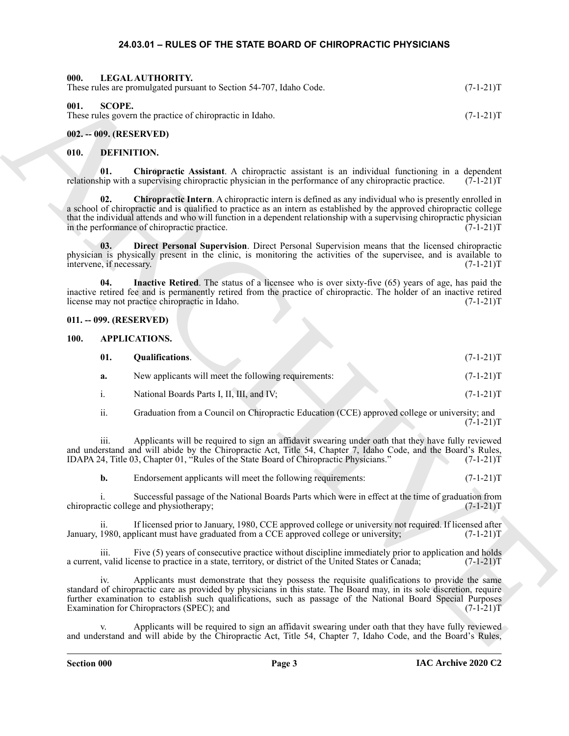#### <span id="page-2-15"></span><span id="page-2-14"></span><span id="page-2-1"></span><span id="page-2-0"></span>**24.03.01 – RULES OF THE STATE BOARD OF CHIROPRACTIC PHYSICIANS**

| 000.        |                                 | LEGAL AUTHORITY.<br>These rules are promulgated pursuant to Section 54-707, Idaho Code.                                                                                                                                                                                                                                                                                                                   | $(7-1-21)T$ |
|-------------|---------------------------------|-----------------------------------------------------------------------------------------------------------------------------------------------------------------------------------------------------------------------------------------------------------------------------------------------------------------------------------------------------------------------------------------------------------|-------------|
| 001.        | <b>SCOPE.</b>                   | These rules govern the practice of chiropractic in Idaho.                                                                                                                                                                                                                                                                                                                                                 | $(7-1-21)T$ |
|             |                                 | 002. -- 009. (RESERVED)                                                                                                                                                                                                                                                                                                                                                                                   |             |
| 010.        | <b>DEFINITION.</b>              |                                                                                                                                                                                                                                                                                                                                                                                                           |             |
|             | 01.                             | Chiropractic Assistant. A chiropractic assistant is an individual functioning in a dependent<br>relationship with a supervising chiropractic physician in the performance of any chiropractic practice.                                                                                                                                                                                                   | $(7-1-21)T$ |
|             | 02.                             | Chiropractic Intern. A chiropractic intern is defined as any individual who is presently enrolled in<br>a school of chiropractic and is qualified to practice as an intern as established by the approved chiropractic college<br>that the individual attends and who will function in a dependent relationship with a supervising chiropractic physician<br>in the performance of chiropractic practice. | $(7-1-21)T$ |
|             | 03.<br>intervene, if necessary. | Direct Personal Supervision. Direct Personal Supervision means that the licensed chiropractic<br>physician is physically present in the clinic, is monitoring the activities of the supervisee, and is available to                                                                                                                                                                                       | $(7-1-21)T$ |
|             | 04.                             | Inactive Retired. The status of a licensee who is over sixty-five (65) years of age, has paid the<br>inactive retired fee and is permanently retired from the practice of chiropractic. The holder of an inactive retired<br>license may not practice chiropractic in Idaho.                                                                                                                              | $(7-1-21)T$ |
|             |                                 | 011. -- 099. (RESERVED)                                                                                                                                                                                                                                                                                                                                                                                   |             |
| <b>100.</b> |                                 | <b>APPLICATIONS.</b>                                                                                                                                                                                                                                                                                                                                                                                      |             |
|             | 01.                             | Qualifications.                                                                                                                                                                                                                                                                                                                                                                                           | $(7-1-21)T$ |
|             | a.                              | New applicants will meet the following requirements:                                                                                                                                                                                                                                                                                                                                                      | $(7-1-21)T$ |
|             | i.                              | National Boards Parts I, II, III, and IV;                                                                                                                                                                                                                                                                                                                                                                 | $(7-1-21)T$ |
|             | ii.                             | Graduation from a Council on Chiropractic Education (CCE) approved college or university; and                                                                                                                                                                                                                                                                                                             | $(7-1-21)T$ |
|             | iii.                            | Applicants will be required to sign an affidavit swearing under oath that they have fully reviewed<br>and understand and will abide by the Chiropractic Act, Title 54, Chapter 7, Idaho Code, and the Board's Rules,<br>IDAPA 24, Title 03, Chapter 01, "Rules of the State Board of Chiropractic Physicians."                                                                                            | $(7-1-21)T$ |
|             | b.                              | Endorsement applicants will meet the following requirements:                                                                                                                                                                                                                                                                                                                                              | $(7-1-21)T$ |
|             | 1.                              | Successful passage of the National Boards Parts which were in effect at the time of graduation from<br>chiropractic college and physiotherapy;                                                                                                                                                                                                                                                            | $(7-1-21)T$ |
|             | ii.                             | If licensed prior to January, 1980, CCE approved college or university not required. If licensed after<br>January, 1980, applicant must have graduated from a CCE approved college or university;                                                                                                                                                                                                         | $(7-1-21)T$ |
|             | iii.                            | Five (5) years of consecutive practice without discipline immediately prior to application and holds<br>a current, valid license to practice in a state, territory, or district of the United States or Canada;                                                                                                                                                                                           | $(7-1-21)T$ |
|             | 1V.                             | Applicants must demonstrate that they possess the requisite qualifications to provide the same<br>standard of chiropractic care as provided by physicians in this state. The Board may, in its sole discretion, require<br>further examination to establish such qualifications, such as passage of the National Board Special Purposes<br>Examination for Chiropractors (SPEC); and                      | $(7-1-21)T$ |
|             | V.                              | Applicants will be required to sign an affidavit swearing under oath that they have fully reviewed<br>and understand and will abide by the Chiropractic Act, Title 54, Chapter 7, Idaho Code, and the Board's Rules,                                                                                                                                                                                      |             |

### <span id="page-2-11"></span><span id="page-2-10"></span><span id="page-2-9"></span><span id="page-2-4"></span><span id="page-2-3"></span><span id="page-2-2"></span>**010. DEFINITION.**

#### <span id="page-2-13"></span><span id="page-2-12"></span><span id="page-2-5"></span>**011. -- 099. (RESERVED)**

#### <span id="page-2-6"></span>**100. APPLICATIONS.**

<span id="page-2-8"></span><span id="page-2-7"></span>

| 01. | <b>Oualifications.</b>                               | $(7-1-21)T$ |
|-----|------------------------------------------------------|-------------|
| a.  | New applicants will meet the following requirements: | $(7-1-21)T$ |
|     | National Boards Parts I, II, III, and IV;            | $(7-1-21)T$ |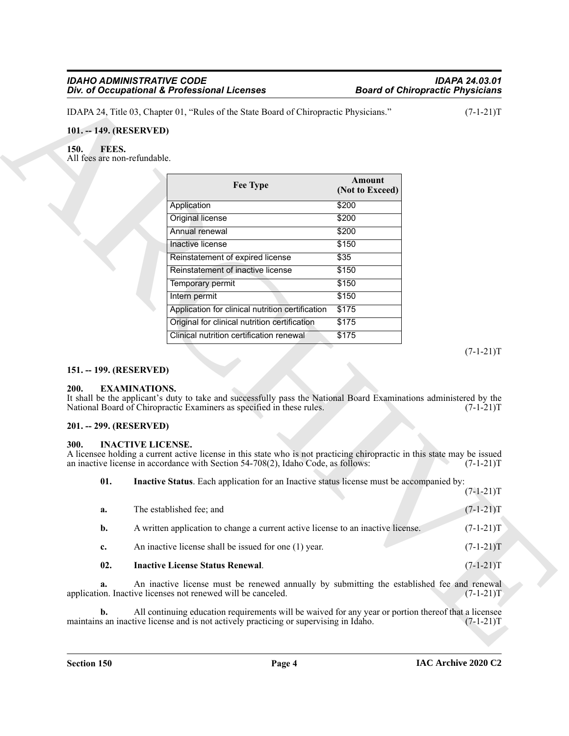#### <span id="page-3-7"></span><span id="page-3-1"></span><span id="page-3-0"></span>**101. -- 149. (RESERVED)**

|                                               | IDAPA 24, Title 03, Chapter 01, "Rules of the State Board of Chiropractic Physicians."                                                                                                                                                    |                           | $(7-1-21)T$ |
|-----------------------------------------------|-------------------------------------------------------------------------------------------------------------------------------------------------------------------------------------------------------------------------------------------|---------------------------|-------------|
| 101. -- 149. (RESERVED)                       |                                                                                                                                                                                                                                           |                           |             |
| 150.<br>FEES.<br>All fees are non-refundable. |                                                                                                                                                                                                                                           |                           |             |
|                                               | <b>Fee Type</b>                                                                                                                                                                                                                           | Amount<br>(Not to Exceed) |             |
|                                               | Application                                                                                                                                                                                                                               | \$200                     |             |
|                                               | Original license                                                                                                                                                                                                                          | \$200                     |             |
|                                               | Annual renewal                                                                                                                                                                                                                            | \$200                     |             |
|                                               | Inactive license                                                                                                                                                                                                                          | \$150                     |             |
|                                               | Reinstatement of expired license                                                                                                                                                                                                          | \$35                      |             |
|                                               | Reinstatement of inactive license                                                                                                                                                                                                         | \$150                     |             |
|                                               | Temporary permit                                                                                                                                                                                                                          | \$150                     |             |
|                                               | Intern permit                                                                                                                                                                                                                             | \$150                     |             |
|                                               | Application for clinical nutrition certification                                                                                                                                                                                          | \$175                     |             |
|                                               | Original for clinical nutrition certification                                                                                                                                                                                             | \$175                     |             |
|                                               | Clinical nutrition certification renewal                                                                                                                                                                                                  | \$175                     |             |
| 151. -- 199. (RESERVED)<br>200.               |                                                                                                                                                                                                                                           |                           | $(7-1-21)T$ |
|                                               | <b>EXAMINATIONS.</b><br>It shall be the applicant's duty to take and successfully pass the National Board Examinations administered by the<br>National Board of Chiropractic Examiners as specified in these rules.                       |                           | $(7-1-21)T$ |
| 201. -- 299. (RESERVED)                       |                                                                                                                                                                                                                                           |                           |             |
| 300.                                          | <b>INACTIVE LICENSE.</b><br>A licensee holding a current active license in this state who is not practicing chiropractic in this state may be issued<br>an inactive license in accordance with Section 54-708(2), Idaho Code, as follows: |                           | $(7-1-21)T$ |
| 01.                                           | Inactive Status. Each application for an Inactive status license must be accompanied by:                                                                                                                                                  |                           | $(7-1-21)T$ |
| a.                                            | The established fee; and                                                                                                                                                                                                                  |                           | $(7-1-21)T$ |
| b.                                            | A written application to change a current active license to an inactive license.                                                                                                                                                          |                           | $(7-1-21)T$ |
| c.                                            | An inactive license shall be issued for one (1) year.                                                                                                                                                                                     |                           | $(7-1-21)T$ |
| 02.                                           | <b>Inactive License Status Renewal.</b>                                                                                                                                                                                                   |                           | $(7-1-21)T$ |
| a.                                            | An inactive license must be renewed annually by submitting the established fee and renewal<br>application. Inactive licenses not renewed will be canceled.                                                                                |                           | $(7-1-21)T$ |

#### <span id="page-3-2"></span>**151. -- 199. (RESERVED)**

#### <span id="page-3-6"></span><span id="page-3-3"></span>**200. EXAMINATIONS.**

#### <span id="page-3-4"></span>**201. -- 299. (RESERVED)**

#### <span id="page-3-8"></span><span id="page-3-5"></span>**300. INACTIVE LICENSE.**

<span id="page-3-10"></span><span id="page-3-9"></span>

| 02.         | <b>Inactive License Status Renewal.</b>                                          | $(7-1-21)T$ |
|-------------|----------------------------------------------------------------------------------|-------------|
| $c_{\cdot}$ | An inactive license shall be issued for one (1) year.                            | $(7-1-21)T$ |
| <b>b.</b>   | A written application to change a current active license to an inactive license. | $(7-1-21)T$ |
| a.          | The established fee; and                                                         | $(7-1-21)T$ |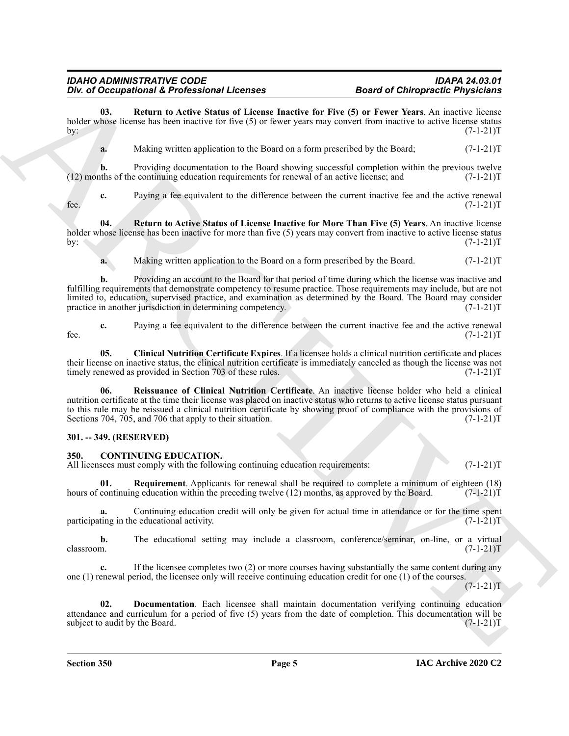**03. Return to Active Status of License Inactive for Five (5) or Fewer Years**. An inactive license holder whose license has been inactive for five (5) or fewer years may convert from inactive to active license status by:  $(7-1-21)T$ by:  $(7-1-21)T$ 

<span id="page-4-7"></span>**a.** Making written application to the Board on a form prescribed by the Board;  $(7-1-21)$ T

**b.** Providing documentation to the Board showing successful completion within the previous twelve  $(12)$  months of the continuing education requirements for renewal of an active license; and  $(7-1-21)$ T

**c.** Paying a fee equivalent to the difference between the current inactive fee and the active renewal fee.  $(7-1-21)T$ 

**04. Return to Active Status of License Inactive for More Than Five (5) Years**. An inactive license holder whose license has been inactive for more than five (5) years may convert from inactive to active license status by:  $(7-1-21)T$ 

<span id="page-4-8"></span>**a.** Making written application to the Board on a form prescribed by the Board.  $(7-1-21)$ T

For  $\theta$  Decays interest of Electron Hersen Correlation and Chinese Constraints of Principalities (Principalities (1972)<br>
We have been been absorbed to the local constraint for Ever Store Website between the states (1972) **b.** Providing an account to the Board for that period of time during which the license was inactive and fulfilling requirements that demonstrate competency to resume practice. Those requirements may include, but are not limited to, education, supervised practice, and examination as determined by the Board. The Board may consider practice in another jurisdiction in determining competency. (7-1-21) practice in another jurisdiction in determining competency.

**c.** Paying a fee equivalent to the difference between the current inactive fee and the active renewal fee.  $(7-1-21)T$ 

<span id="page-4-5"></span>**05. Clinical Nutrition Certificate Expires**. If a licensee holds a clinical nutrition certificate and places their license on inactive status, the clinical nutrition certificate is immediately canceled as though the license was not timely renewed as provided in Section 703 of these rules. (7-1-21) timely renewed as provided in Section 703 of these rules.

<span id="page-4-6"></span>**06. Reissuance of Clinical Nutrition Certificate**. An inactive license holder who held a clinical nutrition certificate at the time their license was placed on inactive status who returns to active license status pursuant to this rule may be reissued a clinical nutrition certificate by showing proof of compliance with the provisions of Sections 704, 705, and 706 that apply to their situation. (7-1-21) T

#### <span id="page-4-0"></span>**301. -- 349. (RESERVED)**

#### <span id="page-4-2"></span><span id="page-4-1"></span>**350. CONTINUING EDUCATION.**

All licensees must comply with the following continuing education requirements:  $(7-1-21)$ T

<span id="page-4-4"></span>**01. Requirement**. Applicants for renewal shall be required to complete a minimum of eighteen (18) hours of continuing education within the preceding twelve (12) months, as approved by the Board. (7-1-21)T

**a.** Continuing education credit will only be given for actual time in attendance or for the time spent ting in the educational activity.  $(7-1-21)$ participating in the educational activity.

**b.** The educational setting may include a classroom, conference/seminar, on-line, or a virtual  $\alpha$ classroom.  $(7-1-21)$ T

**c.** If the licensee completes two (2) or more courses having substantially the same content during any one (1) renewal period, the licensee only will receive continuing education credit for one (1) of the courses.

 $(7-1-21)T$ 

<span id="page-4-3"></span>**02. Documentation**. Each licensee shall maintain documentation verifying continuing education attendance and curriculum for a period of five (5) years from the date of completion. This documentation will be subject to audit by the Board.  $(7-1-21)T$ subject to audit by the Board.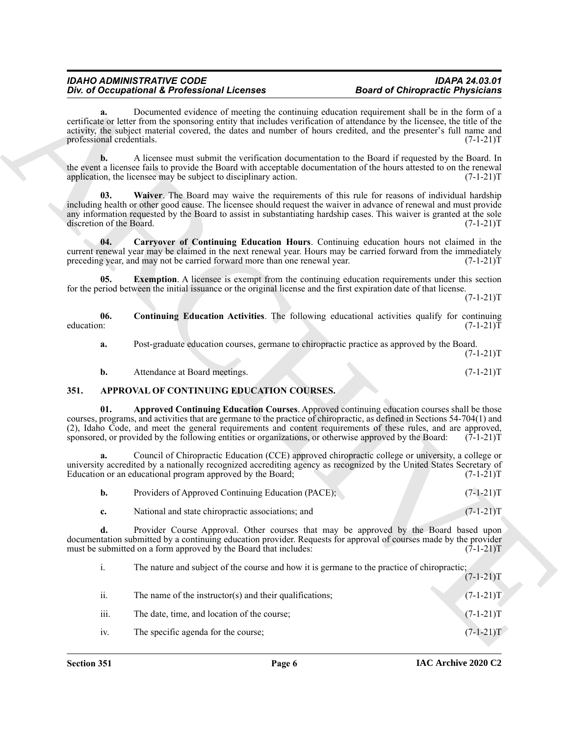**a.** Documented evidence of meeting the continuing education requirement shall be in the form of a certificate or letter from the sponsoring entity that includes verification of attendance by the licensee, the title of the activity, the subject material covered, the dates and number of hours credited, and the presenter's full name and professional credentials. (7-1-21) professional credentials.

**b.** A licensee must submit the verification documentation to the Board if requested by the Board. In the event a licensee fails to provide the Board with acceptable documentation of the hours attested to on the renewal application, the licensee may be subject to disciplinary action. (7-1-21) application, the licensee may be subject to disciplinary action.

<span id="page-5-6"></span>**03. Waiver**. The Board may waive the requirements of this rule for reasons of individual hardship including health or other good cause. The licensee should request the waiver in advance of renewal and must provide any information requested by the Board to assist in substantiating hardship cases. This waiver is granted at the sole discretion of the Board. (7-1-21)T discretion of the Board.

<span id="page-5-3"></span>**04. Carryover of Continuing Education Hours**. Continuing education hours not claimed in the current renewal year may be claimed in the next renewal year. Hours may be carried forward from the immediately preceding year, and may not be carried forward more than one renewal year. (7-1-21) preceding year, and may not be carried forward more than one renewal year.

<span id="page-5-5"></span>**Exemption**. A licensee is exempt from the continuing education requirements under this section for the period between the initial issuance or the original license and the first expiration date of that license.

 $(7-1-21)T$ 

**06.** Continuing Education Activities. The following educational activities qualify for continuing education:  $(7-1-21)T$ education: (7-1-21)T

<span id="page-5-4"></span>**a.** Post-graduate education courses, germane to chiropractic practice as approved by the Board.

 $(7-1-21)T$ 

<span id="page-5-2"></span><span id="page-5-1"></span>**b.** Attendance at Board meetings. (7-1-21)T

#### <span id="page-5-0"></span>**351. APPROVAL OF CONTINUING EDUCATION COURSES.**

**01. Approved Continuing Education Courses**. Approved continuing education courses shall be those courses, programs, and activities that are germane to the practice of chiropractic, as defined in Sections 54-704(1) and (2), Idaho Code, and meet the general requirements and content requirements of these rules, and are approved, sponsored, or provided by the following entities or organizations, or otherwise approved by the Board:  $(7-1-21)$ T

**a.** Council of Chiropractic Education (CCE) approved chiropractic college or university, a college or university accredited by a nationally recognized accrediting agency as recognized by the United States Secretary of Education or an educational program approved by the Board; (7-1-21) Education or an educational program approved by the Board;

| Providers of Approved Continuing Education (PACE); | $(7-1-21)T$ |
|----------------------------------------------------|-------------|
| National and state chiropractic associations; and  | $(7-1-21)T$ |

**d.** Provider Course Approval. Other courses that may be approved by the Board based upon documentation submitted by a continuing education provider. Requests for approval of courses made by the provider must be submitted on a form approved by the Board that includes:  $(7-1-21)$ T

The decoration of DeCrementa Control is the control in the control of DeFrencha Control in the control of the control of the control of the control of the control of the control of the control of the control of the contro i. The nature and subject of the course and how it is germane to the practice of chiropractic;  $(7-1-21)T$ ii. The name of the instructor(s) and their qualifications;  $(7-1-21)T$ iii. The date, time, and location of the course;  $(7-1-21)T$ iv. The specific agenda for the course; (7-1-21)T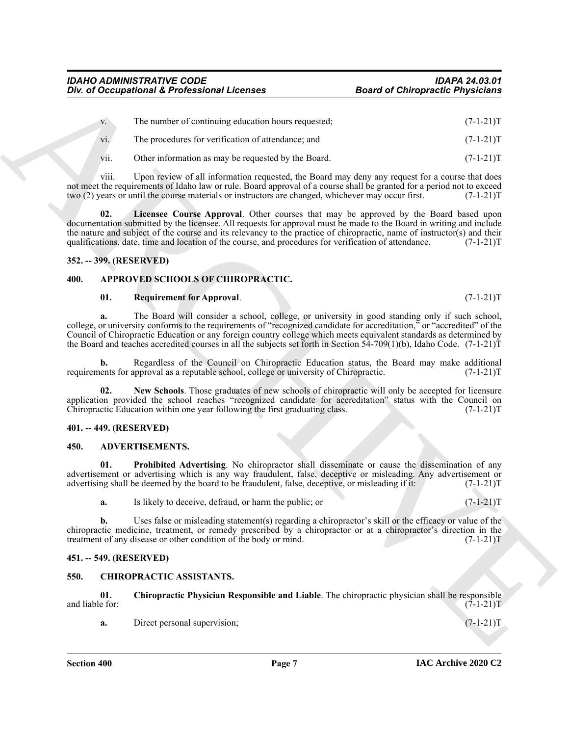|                         | Div. of Occupational & Professional Licenses                                                                                                                                                                                                                                                                                                                                                                                                                                              | <b>Board of Chiropractic Physicians</b> |
|-------------------------|-------------------------------------------------------------------------------------------------------------------------------------------------------------------------------------------------------------------------------------------------------------------------------------------------------------------------------------------------------------------------------------------------------------------------------------------------------------------------------------------|-----------------------------------------|
| V.                      | The number of continuing education hours requested;                                                                                                                                                                                                                                                                                                                                                                                                                                       | $(7-1-21)T$                             |
| vi.                     | The procedures for verification of attendance; and                                                                                                                                                                                                                                                                                                                                                                                                                                        | $(7-1-21)T$                             |
| V11.                    | Other information as may be requested by the Board.                                                                                                                                                                                                                                                                                                                                                                                                                                       | $(7-1-21)T$                             |
| viii.                   | Upon review of all information requested, the Board may deny any request for a course that does<br>not meet the requirements of Idaho law or rule. Board approval of a course shall be granted for a period not to exceed<br>two (2) years or until the course materials or instructors are changed, whichever may occur first.                                                                                                                                                           | $(7-1-21)T$                             |
| 02.                     | Licensee Course Approval. Other courses that may be approved by the Board based upon<br>documentation submitted by the licensee. All requests for approval must be made to the Board in writing and include<br>the nature and subject of the course and its relevancy to the practice of chiropractic, name of instructor(s) and their<br>qualifications, date, time and location of the course, and procedures for verification of attendance.                                           | $(7-1-21)T$                             |
| 352. -- 399. (RESERVED) |                                                                                                                                                                                                                                                                                                                                                                                                                                                                                           |                                         |
| 400.                    | APPROVED SCHOOLS OF CHIROPRACTIC.                                                                                                                                                                                                                                                                                                                                                                                                                                                         |                                         |
| 01.                     | <b>Requirement for Approval.</b>                                                                                                                                                                                                                                                                                                                                                                                                                                                          | $(7-1-21)T$                             |
|                         | The Board will consider a school, college, or university in good standing only if such school,<br>college, or university conforms to the requirements of "recognized candidate for accreditation," or "accredited" of the<br>Council of Chiropractic Education or any foreign country college which meets equivalent standards as determined by<br>the Board and teaches accredited courses in all the subjects set forth in Section $5\dot{4}$ -709(1)(b), Idaho Code. $(7-1-21)\dot{T}$ |                                         |
| b.                      | Regardless of the Council on Chiropractic Education status, the Board may make additional<br>requirements for approval as a reputable school, college or university of Chiropractic.                                                                                                                                                                                                                                                                                                      | $(7-1-21)T$                             |
| 02.                     | New Schools. Those graduates of new schools of chiropractic will only be accepted for licensure<br>application provided the school reaches "recognized candidate for accreditation" status with the Council on<br>Chiropractic Education within one year following the first graduating class.                                                                                                                                                                                            | $(7-1-21)T$                             |
| 401. -- 449. (RESERVED) |                                                                                                                                                                                                                                                                                                                                                                                                                                                                                           |                                         |
| 450.                    | ADVERTISEMENTS.                                                                                                                                                                                                                                                                                                                                                                                                                                                                           |                                         |
| 01.                     | Prohibited Advertising. No chiropractor shall disseminate or cause the dissemination of any<br>advertisement or advertising which is any way fraudulent, false, deceptive or misleading. Any advertisement or<br>advertising shall be deemed by the board to be fraudulent, false, deceptive, or misleading if it:                                                                                                                                                                        | $(7-1-21)T$                             |
| a.                      | Is likely to deceive, defraud, or harm the public; or                                                                                                                                                                                                                                                                                                                                                                                                                                     | $(7-1-21)T$                             |
| b.                      | Uses false or misleading statement(s) regarding a chiropractor's skill or the efficacy or value of the<br>chiropractic medicine, treatment, or remedy prescribed by a chiropractor or at a chiropractor's direction in the<br>treatment of any disease or other condition of the body or mind.                                                                                                                                                                                            | $(7-1-21)T$                             |
| 451. -- 549. (RESERVED) |                                                                                                                                                                                                                                                                                                                                                                                                                                                                                           |                                         |
| 550.                    | <b>CHIROPRACTIC ASSISTANTS.</b>                                                                                                                                                                                                                                                                                                                                                                                                                                                           |                                         |
|                         |                                                                                                                                                                                                                                                                                                                                                                                                                                                                                           |                                         |
| 01.<br>and liable for:  | Chiropractic Physician Responsible and Liable. The chiropractic physician shall be responsible                                                                                                                                                                                                                                                                                                                                                                                            | $(7-1-21)T$                             |

#### <span id="page-6-8"></span><span id="page-6-0"></span>**352. -- 399. (RESERVED)**

#### <span id="page-6-1"></span>**400. APPROVED SCHOOLS OF CHIROPRACTIC.**

#### <span id="page-6-11"></span><span id="page-6-9"></span>**01. Requirement for Approval**. (7-1-21)T

#### <span id="page-6-10"></span><span id="page-6-2"></span>**401. -- 449. (RESERVED)**

#### <span id="page-6-7"></span><span id="page-6-6"></span><span id="page-6-3"></span>**450. ADVERTISEMENTS.**

#### <span id="page-6-4"></span>**451. -- 549. (RESERVED)**

#### <span id="page-6-13"></span><span id="page-6-12"></span><span id="page-6-5"></span>**550. CHIROPRACTIC ASSISTANTS.**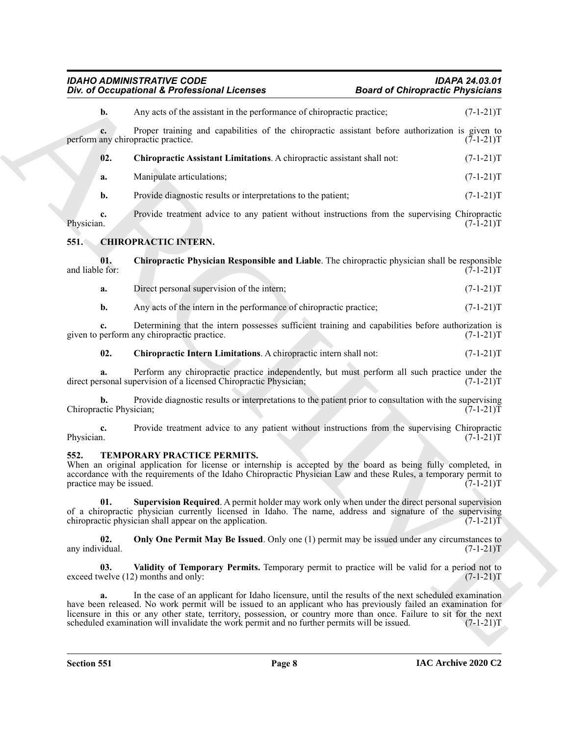<span id="page-7-9"></span><span id="page-7-8"></span><span id="page-7-7"></span><span id="page-7-6"></span><span id="page-7-5"></span><span id="page-7-4"></span><span id="page-7-3"></span><span id="page-7-2"></span><span id="page-7-0"></span>

| <b>IDAHO ADMINISTRATIVE CODE</b>             | <b>IDAPA 24.03.01</b>                   |
|----------------------------------------------|-----------------------------------------|
| Div. of Occupational & Professional Licenses | <b>Board of Chiropractic Physicians</b> |

<span id="page-7-1"></span>

| Div. of Occupational & Professional Licenses                                                                                                                                                                                                                                                                                                                                                                                                        | <b>Board of Chiropractic Physicians</b> |
|-----------------------------------------------------------------------------------------------------------------------------------------------------------------------------------------------------------------------------------------------------------------------------------------------------------------------------------------------------------------------------------------------------------------------------------------------------|-----------------------------------------|
| Any acts of the assistant in the performance of chiropractic practice;<br>b.                                                                                                                                                                                                                                                                                                                                                                        | $(7-1-21)T$                             |
| Proper training and capabilities of the chiropractic assistant before authorization is given to<br>c.<br>perform any chiropractic practice.                                                                                                                                                                                                                                                                                                         | $(7-1-21)T$                             |
| 02.<br>Chiropractic Assistant Limitations. A chiropractic assistant shall not:                                                                                                                                                                                                                                                                                                                                                                      | $(7-1-21)T$                             |
| Manipulate articulations;<br>a.                                                                                                                                                                                                                                                                                                                                                                                                                     | $(7-1-21)T$                             |
| Provide diagnostic results or interpretations to the patient;<br>$\mathbf{b}$ .                                                                                                                                                                                                                                                                                                                                                                     | $(7-1-21)T$                             |
| Provide treatment advice to any patient without instructions from the supervising Chiropractic<br>c.<br>Physician.                                                                                                                                                                                                                                                                                                                                  | $(7-1-21)T$                             |
| <b>CHIROPRACTIC INTERN.</b><br>551.                                                                                                                                                                                                                                                                                                                                                                                                                 |                                         |
| 01.<br>Chiropractic Physician Responsible and Liable. The chiropractic physician shall be responsible<br>and liable for:                                                                                                                                                                                                                                                                                                                            | $(7-1-21)T$                             |
| Direct personal supervision of the intern;<br>a.                                                                                                                                                                                                                                                                                                                                                                                                    | $(7-1-21)T$                             |
| Any acts of the intern in the performance of chiropractic practice;<br>b.                                                                                                                                                                                                                                                                                                                                                                           | $(7-1-21)T$                             |
| Determining that the intern possesses sufficient training and capabilities before authorization is<br>c.<br>given to perform any chiropractic practice.                                                                                                                                                                                                                                                                                             | $(7-1-21)T$                             |
| 02.<br>Chiropractic Intern Limitations. A chiropractic intern shall not:                                                                                                                                                                                                                                                                                                                                                                            | $(7-1-21)T$                             |
| Perform any chiropractic practice independently, but must perform all such practice under the<br>direct personal supervision of a licensed Chiropractic Physician;                                                                                                                                                                                                                                                                                  | $(7-1-21)T$                             |
| Provide diagnostic results or interpretations to the patient prior to consultation with the supervising<br>b.<br>Chiropractic Physician;                                                                                                                                                                                                                                                                                                            | $(7-1-21)T$                             |
| Provide treatment advice to any patient without instructions from the supervising Chiropractic<br>c.<br>Physician.                                                                                                                                                                                                                                                                                                                                  | $(7-1-21)T$                             |
| 552.<br>TEMPORARY PRACTICE PERMITS.<br>When an original application for license or internship is accepted by the board as being fully completed, in<br>accordance with the requirements of the Idaho Chiropractic Physician Law and these Rules, a temporary permit to<br>practice may be issued.                                                                                                                                                   | $(7-1-21)T$                             |
| Supervision Required. A permit holder may work only when under the direct personal supervision<br>01.<br>of a chiropractic physician currently licensed in Idaho. The name, address and signature of the supervising<br>chiropractic physician shall appear on the application.                                                                                                                                                                     | $(7-1-21)T$                             |
| 02.<br>Only One Permit May Be Issued. Only one (1) permit may be issued under any circumstances to<br>any individual.                                                                                                                                                                                                                                                                                                                               | $(7-1-21)T$                             |
| Validity of Temporary Permits. Temporary permit to practice will be valid for a period not to<br>03.<br>exceed twelve (12) months and only:                                                                                                                                                                                                                                                                                                         | $(7-1-21)T$                             |
| In the case of an applicant for Idaho licensure, until the results of the next scheduled examination<br>a.<br>have been released. No work permit will be issued to an applicant who has previously failed an examination for<br>licensure in this or any other state, territory, possession, or country more than once. Failure to sit for the next<br>scheduled examination will invalidate the work permit and no further permits will be issued. | $(7-1-21)T$                             |
|                                                                                                                                                                                                                                                                                                                                                                                                                                                     |                                         |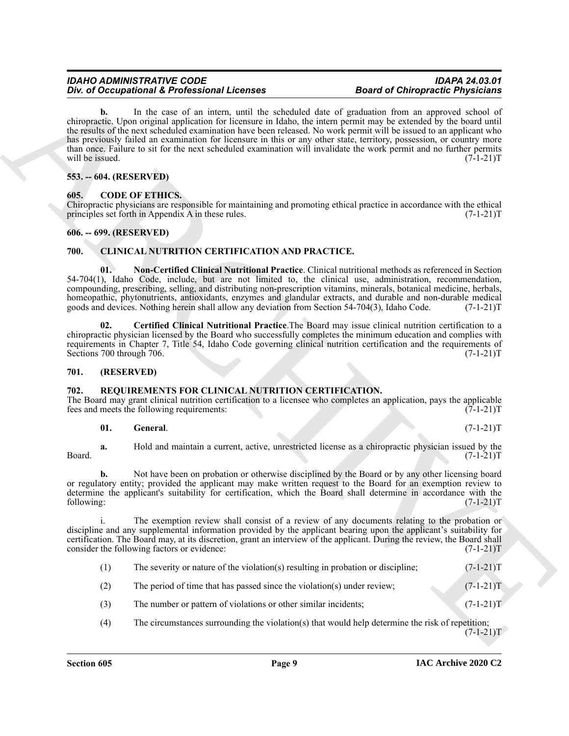For d Occupation's E-Points and the method in the spherical Research Occupation (Figure 2). The spherical Research Control is a spherical property of the spherical Research Control in the spherical Research Control in the **b.** In the case of an intern, until the scheduled date of graduation from an approved school of chiropractic. Upon original application for licensure in Idaho, the intern permit may be extended by the board until the results of the next scheduled examination have been released. No work permit will be issued to an applicant who has previously failed an examination for licensure in this or any other state, territory, possession, or country more than once. Failure to sit for the next scheduled examination will invalidate the work permit and no further permits will be issued.  $(7-1-21)T$ 

#### <span id="page-8-0"></span>**553. -- 604. (RESERVED)**

#### <span id="page-8-9"></span><span id="page-8-1"></span>**605. CODE OF ETHICS.**

Chiropractic physicians are responsible for maintaining and promoting ethical practice in accordance with the ethical principles set forth in Appendix A in these rules. (7-1-21) principles set forth in Appendix A in these rules.

#### <span id="page-8-2"></span>**606. -- 699. (RESERVED)**

#### <span id="page-8-6"></span><span id="page-8-3"></span>**700. CLINICAL NUTRITION CERTIFICATION AND PRACTICE.**

<span id="page-8-8"></span>**01. Non-Certified Clinical Nutritional Practice**. Clinical nutritional methods as referenced in Section 54-704(1), Idaho Code, include, but are not limited to, the clinical use, administration, recommendation, compounding, prescribing, selling, and distributing non-prescription vitamins, minerals, botanical medicine, herbals, homeopathic, phytonutrients, antioxidants, enzymes and glandular extracts, and durable and non-durable medical goods and devices. Nothing herein shall allow any deviation from Section 54-704(3), Idaho Code. (7-1-21)T goods and devices. Nothing herein shall allow any deviation from Section 54-704(3), Idaho Code.

<span id="page-8-7"></span>**02. Certified Clinical Nutritional Practice**.The Board may issue clinical nutrition certification to a chiropractic physician licensed by the Board who successfully completes the minimum education and complies with requirements in Chapter 7, Title 54, Idaho Code governing clinical nutrition certification and the requirements of Sections 700 through 706. (7-1-21) Sections 700 through 706.

#### <span id="page-8-4"></span>**701. (RESERVED)**

### <span id="page-8-10"></span><span id="page-8-5"></span>**702. REQUIREMENTS FOR CLINICAL NUTRITION CERTIFICATION.**

The Board may grant clinical nutrition certification to a licensee who completes an application, pays the applicable fees and meets the following requirements: (7-1-21) fees and meets the following requirements:

#### <span id="page-8-11"></span>**01. General**. (7-1-21)T

**a.** Hold and maintain a current, active, unrestricted license as a chiropractic physician issued by the  $(7-1-21)T$  $Board.$  (7-1-21) $T$ 

**b.** Not have been on probation or otherwise disciplined by the Board or by any other licensing board or regulatory entity; provided the applicant may make written request to the Board for an exemption review to determine the applicant's suitability for certification, which the Board shall determine in accordance with the following: (7-1-21)T

i. The exemption review shall consist of a review of any documents relating to the probation or discipline and any supplemental information provided by the applicant bearing upon the applicant's suitability for certification. The Board may, at its discretion, grant an interview of the applicant. During the review, the Board shall consider the following factors or evidence: (7-1-21)T

| (1)    |      | The severity or nature of the violation(s) resulting in probation or discipline; | $(7-1-21)T$                        |
|--------|------|----------------------------------------------------------------------------------|------------------------------------|
| $\sim$ | $-1$ |                                                                                  | $\sim$ $\sim$ $\sim$ $\sim$ $\sim$ |

- (2) The period of time that has passed since the violation(s) under review; (7-1-21)T
- (3) The number or pattern of violations or other similar incidents; (7-1-21)T
- (4) The circumstances surrounding the violation(s) that would help determine the risk of repetition;  $(7-1-21)T$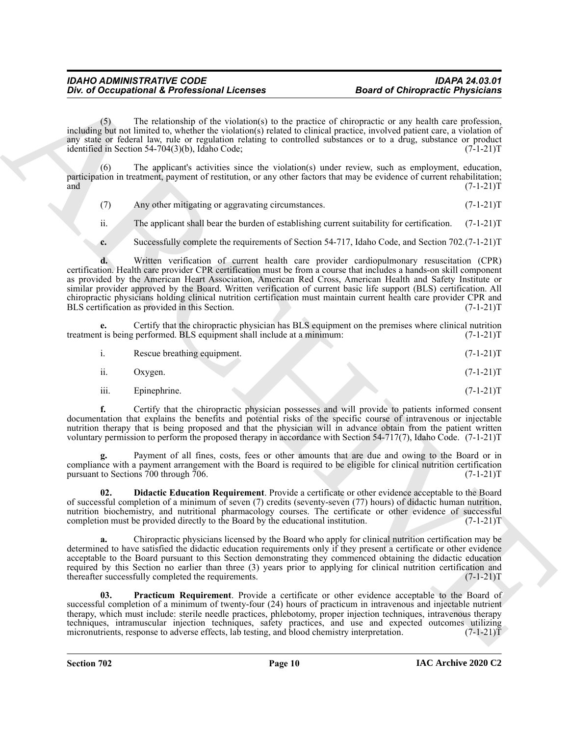The relationship of the violation(s) to the practice of chiropractic or any health care profession, including but not limited to, whether the violation(s) related to clinical practice, involved patient care, a violation of any state or federal law, rule or regulation relating to controlled substances or to a drug, substance or product identified in Section 54-704(3)(b), Idaho Code;  $(7-1-21)$ T

(6) The applicant's activities since the violation(s) under review, such as employment, education, participation in treatment, payment of restitution, or any other factors that may be evidence of current rehabilitation; and  $(7-1-21)$ T

(7) Any other mitigating or aggravating circumstances. (7-1-21)T

ii. The applicant shall bear the burden of establishing current suitability for certification.  $(7-1-21)T$ 

**c.** Successfully complete the requirements of Section 54-717, Idaho Code, and Section 702.(7-1-21)T

One of Occupational & Professional Licenses<br>
Board of Oclimpactic Physicians<br>
induction The relationship of the visiting of the product of distinguishing and the summarized transformation<br>
induction and the relationship o **d.** Written verification of current health care provider cardiopulmonary resuscitation (CPR) certification. Health care provider CPR certification must be from a course that includes a hands-on skill component as provided by the American Heart Association, American Red Cross, American Health and Safety Institute or similar provider approved by the Board. Written verification of current basic life support (BLS) certification. All chiropractic physicians holding clinical nutrition certification must maintain current health care provider CPR and<br>BLS certification as provided in this Section. (7-1-21)T BLS certification as provided in this Section.

**e.** Certify that the chiropractic physician has BLS equipment on the premises where clinical nutrition treatment is being performed. BLS equipment shall include at a minimum: (7-1-21)T

- ii. Oxygen. (7-1-21)T
- iii. Epinephrine. (7-1-21)T

**f.** Certify that the chiropractic physician possesses and will provide to patients informed consent documentation that explains the benefits and potential risks of the specific course of intravenous or injectable nutrition therapy that is being proposed and that the physician will in advance obtain from the patient written voluntary permission to perform the proposed therapy in accordance with Section 54-717(7), Idaho Code. (7-1-21)T

Payment of all fines, costs, fees or other amounts that are due and owing to the Board or in compliance with a payment arrangement with the Board is required to be eligible for clinical nutrition certification pursuant to Sections 700 through 706. pursuant to Sections  $700$  through  $706$ .

<span id="page-9-0"></span>**02. Didactic Education Requirement**. Provide a certificate or other evidence acceptable to the Board of successful completion of a minimum of seven (7) credits (seventy-seven (77) hours) of didactic human nutrition, nutrition biochemistry, and nutritional pharmacology courses. The certificate or other evidence of successful<br>completion must be provided directly to the Board by the educational institution. (7-1-21) completion must be provided directly to the Board by the educational institution.

**a.** Chiropractic physicians licensed by the Board who apply for clinical nutrition certification may be determined to have satisfied the didactic education requirements only if they present a certificate or other evidence acceptable to the Board pursuant to this Section demonstrating they commenced obtaining the didactic education required by this Section no earlier than three (3) years prior to applying for clinical nutrition certification and thereafter successfully completed the requirements. (7-1-21) thereafter successfully completed the requirements.

<span id="page-9-1"></span>**03. Practicum Requirement**. Provide a certificate or other evidence acceptable to the Board of successful completion of a minimum of twenty-four (24) hours of practicum in intravenous and injectable nutrient therapy, which must include: sterile needle practices, phlebotomy, proper injection techniques, intravenous therapy techniques, intramuscular injection techniques, safety practices, and use and expected outcomes utilizing micronutrients, response to adverse effects, lab testing, and blood chemistry interpretation. (7-1-21) micronutrients, response to adverse effects, lab testing, and blood chemistry interpretation.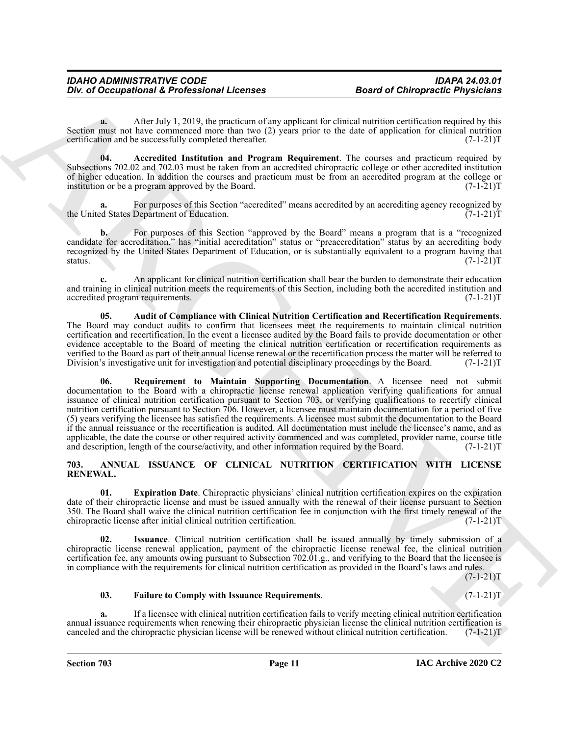**a.** After July 1, 2019, the practicum of any applicant for clinical nutrition certification required by this Section must not have commenced more than two (2) years prior to the date of application for clinical nutrition certification and be successfully completed thereafter. (7-1-21) certification and be successfully completed thereafter.

<span id="page-10-5"></span>**04. Accredited Institution and Program Requirement**. The courses and practicum required by Subsections 702.02 and 702.03 must be taken from an accredited chiropractic college or other accredited institution of higher education. In addition the courses and practicum must be from an accredited program at the college or institution or be a program approved by the Board.  $(7-1-21)T$ institution or be a program approved by the Board.

For purposes of this Section "accredited" means accredited by an accrediting agency recognized by Department of Education. (7-1-21)<sup>T</sup> the United States Department of Education.

**b.** For purposes of this Section "approved by the Board" means a program that is a "recognized candidate for accreditation," has "initial accreditation" status or "preaccreditation" status by an accrediting body recognized by the United States Department of Education, or is substantially equivalent to a program having that status. (7-1-21)T status.  $(7-1-21)T$ 

**c.** An applicant for clinical nutrition certification shall bear the burden to demonstrate their education and training in clinical nutrition meets the requirements of this Section, including both the accredited institution and accredited program requirements. (7-1-21)T accredited program requirements.

<span id="page-10-7"></span><span id="page-10-6"></span>**05. Audit of Compliance with Clinical Nutrition Certification and Recertification Requirements**. The Board may conduct audits to confirm that licensees meet the requirements to maintain clinical nutrition certification and recertification. In the event a licensee audited by the Board fails to provide documentation or other evidence acceptable to the Board of meeting the clinical nutrition certification or recertification requirements as verified to the Board as part of their annual license renewal or the recertification process the matter will be referred to Division's investigative unit for investigation and potential disciplinary proceedings by the Boar Division's investigative unit for investigation and potential disciplinary proceedings by the Board.

One of Occupational K. Professional Licenses<br>
Search Oclimptocle Physicisms<br>
Search Apple of Northern Comparison Comparison Comparison Comparison Comparison Comparison Comparison Comparison<br>
Search Apple of Northern Compa **06. Requirement to Maintain Supporting Documentation**. A licensee need not submit documentation to the Board with a chiropractic license renewal application verifying qualifications for annual issuance of clinical nutrition certification pursuant to Section 703, or verifying qualifications to recertify clinical nutrition certification pursuant to Section 706. However, a licensee must maintain documentation for a period of five (5) years verifying the licensee has satisfied the requirements. A licensee must submit the documentation to the Board if the annual reissuance or the recertification is audited. All documentation must include the licensee's name, and as applicable, the date the course or other required activity commenced and was completed, provider name, course title<br>and description, length of the course/activity, and other information required by the Board. (7-1-21)T and description, length of the course/activity, and other information required by the Board.

#### <span id="page-10-1"></span><span id="page-10-0"></span>**703. ANNUAL ISSUANCE OF CLINICAL NUTRITION CERTIFICATION WITH LICENSE RENEWAL.**

<span id="page-10-2"></span>**01. Expiration Date**. Chiropractic physicians' clinical nutrition certification expires on the expiration date of their chiropractic license and must be issued annually with the renewal of their license pursuant to Section 350. The Board shall waive the clinical nutrition certification fee in conjunction with the first timely renewal of the chiropractic license after initial clinical nutrition certification. (7-1-21) chiropractic license after initial clinical nutrition certification.

<span id="page-10-4"></span>**02. Issuance**. Clinical nutrition certification shall be issued annually by timely submission of a chiropractic license renewal application, payment of the chiropractic license renewal fee, the clinical nutrition certification fee, any amounts owing pursuant to Subsection 702.01.g., and verifying to the Board that the licensee is in compliance with the requirements for clinical nutrition certification as provided in the Board's laws and rules.

 $(7-1-21)T$ 

#### <span id="page-10-3"></span>**03. Failure to Comply with Issuance Requirements**. (7-1-21)T

**a.** If a licensee with clinical nutrition certification fails to verify meeting clinical nutrition certification annual issuance requirements when renewing their chiropractic physician license the clinical nutrition certification is canceled and the chiropractic physician license will be renewed without clinical nutrition certificati canceled and the chiropractic physician license will be renewed without clinical nutrition certification.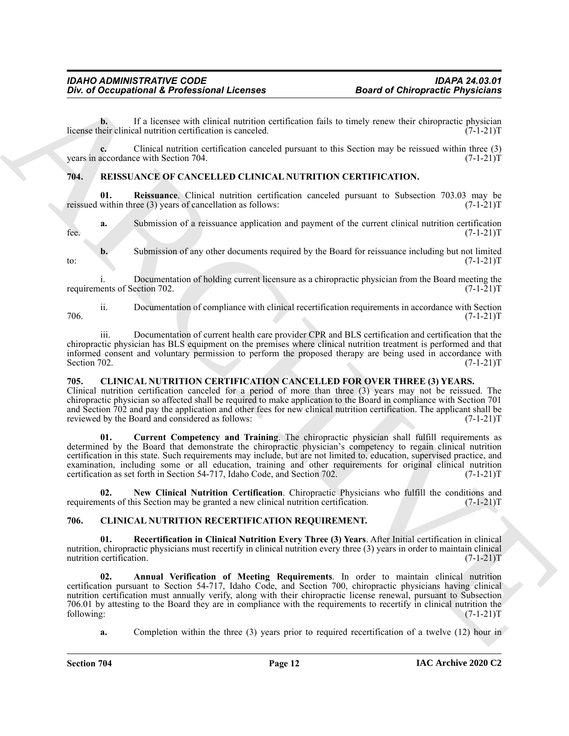**b.** If a licensee with clinical nutrition certification fails to timely renew their chiropractic physician heir clinical nutrition certification is canceled. (7-1-21) license their clinical nutrition certification is canceled.

**c.** Clinical nutrition certification canceled pursuant to this Section may be reissued within three (3) accordance with Section 704.  $(7-1-21)T$ years in accordance with Section 704.

#### <span id="page-11-9"></span><span id="page-11-0"></span>**704. REISSUANCE OF CANCELLED CLINICAL NUTRITION CERTIFICATION.**

<span id="page-11-10"></span>**01.** Reissuance. Clinical nutrition certification canceled pursuant to Subsection 703.03 may be within three (3) years of cancellation as follows:  $(7-1-21)$ reissued within three  $(3)$  years of cancellation as follows:

**a.** Submission of a reissuance application and payment of the current clinical nutrition certification (7-1-21)T fee.  $(7-1-21)T$ 

**b.** Submission of any other documents required by the Board for reissuance including but not limited  $(7-1-21)$ T to:  $(7-1-21)T$ 

i. Documentation of holding current licensure as a chiropractic physician from the Board meeting the ents of Section 702. (7-1-21) requirements of Section 702.

ii. Documentation of compliance with clinical recertification requirements in accordance with Section 706. (7-1-21)T

iii. Documentation of current health care provider CPR and BLS certification and certification that the chiropractic physician has BLS equipment on the premises where clinical nutrition treatment is performed and that informed consent and voluntary permission to perform the proposed therapy are being used in accordance with Section 702. (7-1-21)T Section 702. (7-1-21) T

#### <span id="page-11-3"></span><span id="page-11-1"></span>**705. CLINICAL NUTRITION CERTIFICATION CANCELLED FOR OVER THREE (3) YEARS.**

Clinical nutrition certification canceled for a period of more than three (3) years may not be reissued. The chiropractic physician so affected shall be required to make application to the Board in compliance with Section 701 and Section 702 and pay the application and other fees for new clinical nutrition certification. The applicant shall be reviewed by the Board and considered as follows: (7-1-21)T

<span id="page-11-4"></span>**01. Current Competency and Training**. The chiropractic physician shall fulfill requirements as determined by the Board that demonstrate the chiropractic physician's competency to regain clinical nutrition certification in this state. Such requirements may include, but are not limited to, education, supervised practice, and examination, including some or all education, training and other requirements for original clinical nutrition certification as set forth in Section 54-717, Idaho Code, and Section 702. (7-1-21) certification as set forth in Section 54-717, Idaho Code, and Section 702.

<span id="page-11-5"></span>**02. New Clinical Nutrition Certification**. Chiropractic Physicians who fulfill the conditions and requirements of this Section may be granted a new clinical nutrition certification. (7-1-21)T

#### <span id="page-11-6"></span><span id="page-11-2"></span>**706. CLINICAL NUTRITION RECERTIFICATION REQUIREMENT.**

<span id="page-11-8"></span>**01. Recertification in Clinical Nutrition Every Three (3) Years**. After Initial certification in clinical nutrition, chiropractic physicians must recertify in clinical nutrition every three (3) years in order to maintain clinical nutrition certification. (7-1-21)T nutrition certification.

One of Occupational K. Fredericks and Linearns **Exercises Exercise Control** Control Control Control Control Control Control Control Control Control Control Control Control Control Control Control Control Control Control **02. Annual Verification of Meeting Requirements**. In order to maintain clinical nutrition certification pursuant to Section 54-717, Idaho Code, and Section 700, chiropractic physicians having clinical nutrition certification must annually verify, along with their chiropractic license renewal, pursuant to Subsection 706.01 by attesting to the Board they are in compliance with the requirements to recertify in clinical nutrition the following:  $(7-1-21)$ following: (7-1-21)T

<span id="page-11-7"></span>**a.** Completion within the three (3) years prior to required recertification of a twelve (12) hour in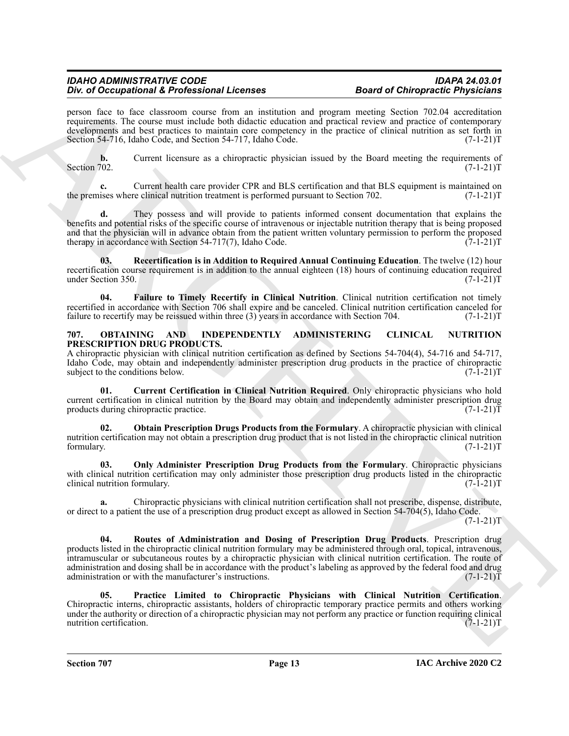person face to face classroom course from an institution and program meeting Section 702.04 accreditation requirements. The course must include both didactic education and practical review and practice of contemporary developments and best practices to maintain core competency in the practice of clinical nutrition as set forth in Section 54-716, Idaho Code, and Section 54-717, Idaho Code. (7-1-21)T

**b.** Current licensure as a chiropractic physician issued by the Board meeting the requirements of Section 702. (7-1-21) Section 702. (7-1-21)T

**c.** Current health care provider CPR and BLS certification and that BLS equipment is maintained on the premises where clinical nutrition treatment is performed pursuant to Section 702. (7-1-21)T

**d.** They possess and will provide to patients informed consent documentation that explains the benefits and potential risks of the specific course of intravenous or injectable nutrition therapy that is being proposed and that the physician will in advance obtain from the patient written voluntary permission to perform the proposed therapy in accordance with Section 54-717(7), Idaho Code. (7-1-21)T

<span id="page-12-2"></span>**03. Recertification is in Addition to Required Annual Continuing Education**. The twelve (12) hour recertification course requirement is in addition to the annual eighteen (18) hours of continuing education required<br>(7-1-21)T under Section 350.

<span id="page-12-1"></span>**04. Failure to Timely Recertify in Clinical Nutrition**. Clinical nutrition certification not timely recertified in accordance with Section 706 shall expire and be canceled. Clinical nutrition certification canceled for failure to recertify may be reissued within three (3) years in accordance with Section 704. (7-1-21)T failure to recertify may be reissued within three  $(3)$  years in accordance with Section 704.

#### <span id="page-12-3"></span><span id="page-12-0"></span>**707. OBTAINING AND INDEPENDENTLY ADMINISTERING CLINICAL NUTRITION PRESCRIPTION DRUG PRODUCTS.**

A chiropractic physician with clinical nutrition certification as defined by Sections 54-704(4), 54-716 and 54-717, Idaho Code, may obtain and independently administer prescription drug products in the practice of chiropractic subject to the conditions below. (7-1-21) subject to the conditions below.

<span id="page-12-4"></span>**01. Current Certification in Clinical Nutrition Required**. Only chiropractic physicians who hold current certification in clinical nutrition by the Board may obtain and independently administer prescription drug products during chiropractic practice. (7-1-21) products during chiropractic practice.

<span id="page-12-5"></span>**02. Obtain Prescription Drugs Products from the Formulary**. A chiropractic physician with clinical nutrition certification may not obtain a prescription drug product that is not listed in the chiropractic clinical nutrition formulary. (7-1-21) formulary. (7-1-21)T

<span id="page-12-6"></span>**03. Only Administer Prescription Drug Products from the Formulary**. Chiropractic physicians with clinical nutrition certification may only administer those prescription drug products listed in the chiropractic clinical nutrition formulary. (7-1-21)T

<span id="page-12-8"></span>**a.** Chiropractic physicians with clinical nutrition certification shall not prescribe, dispense, distribute, or direct to a patient the use of a prescription drug product except as allowed in Section 54-704(5), Idaho Code.

 $(7-1-21)T$ 

The d'Octupation is forferisained Heronic Constant and Heronic Constant and Octupation is the state of Octupation in the state of Octupation in the state of Octupation in the state of Octupation in the state of Octupatio **04. Routes of Administration and Dosing of Prescription Drug Products**. Prescription drug products listed in the chiropractic clinical nutrition formulary may be administered through oral, topical, intravenous, intramuscular or subcutaneous routes by a chiropractic physician with clinical nutrition certification. The route of administration and dosing shall be in accordance with the product's labeling as approved by the federal food and drug administration or with the manufacturer's instructions. (7-1-21) administration or with the manufacturer's instructions.

<span id="page-12-7"></span>**05. Practice Limited to Chiropractic Physicians with Clinical Nutrition Certification**. Chiropractic interns, chiropractic assistants, holders of chiropractic temporary practice permits and others working under the authority or direction of a chiropractic physician may not perform any practice or function requiring clinical nutrition certification. (7-1-21)T nutrition certification.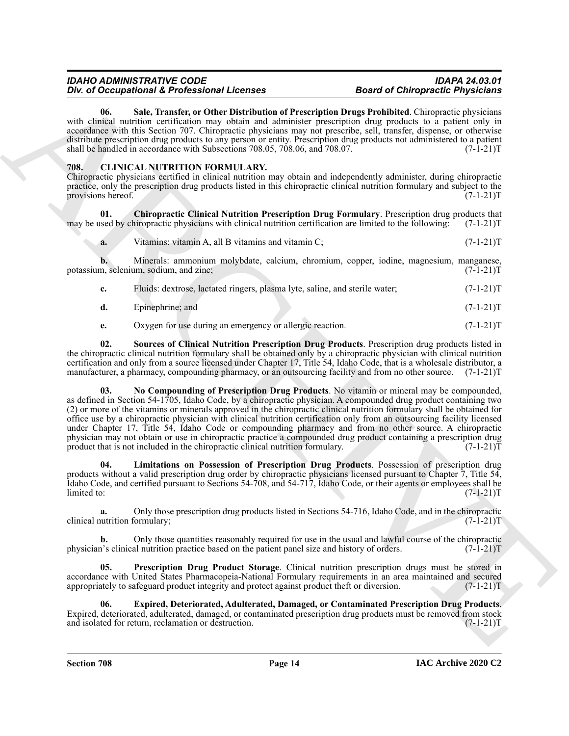<span id="page-13-8"></span>**06. Sale, Transfer, or Other Distribution of Prescription Drugs Prohibited**. Chiropractic physicians with clinical nutrition certification may obtain and administer prescription drug products to a patient only in accordance with this Section 707. Chiropractic physicians may not prescribe, sell, transfer, dispense, or otherwise distribute prescription drug products to any person or entity. Prescription drug products not administered to a patient shall be handled in accordance with Subsections 708.05, 708.06, and 708.07.  $(7-1-21)T$ 

### <span id="page-13-1"></span><span id="page-13-0"></span>**708. CLINICAL NUTRITION FORMULARY.**

Chiropractic physicians certified in clinical nutrition may obtain and independently administer, during chiropractic practice, only the prescription drug products listed in this chiropractic clinical nutrition formulary and subject to the provisions hereof. (7-1-21)T

**01.** Chiropractic Clinical Nutrition Prescription Drug Formulary. Prescription drug products that used by chiropractic physicians with clinical nutrition certification are limited to the following: (7-1-21)T may be used by chiropractic physicians with clinical nutrition certification are limited to the following:

<span id="page-13-2"></span>**a.** Vitamins: vitamin A, all B vitamins and vitamin C; (7-1-21)T

**b.** Minerals: ammonium molybdate, calcium, chromium, copper, iodine, magnesium, manganese, n, selenium, sodium, and zinc; (7-1-21) potassium, selenium, sodium, and zinc;

| Fluids: dextrose, lactated ringers, plasma lyte, saline, and sterile water; | $(7-1-21)T$ |
|-----------------------------------------------------------------------------|-------------|
|                                                                             |             |

**d.** Epinephrine; and (7-1-21)T

<span id="page-13-7"></span><span id="page-13-5"></span>**e.** Oxygen for use during an emergency or allergic reaction.  $(7-1-21)T$ 

**02. Sources of Clinical Nutrition Prescription Drug Products**. Prescription drug products listed in the chiropractic clinical nutrition formulary shall be obtained only by a chiropractic physician with clinical nutrition certification and only from a source licensed under Chapter 17, Title 54, Idaho Code, that is a wholesale distributor, a manufacturer, a pharmacy, compounding pharmacy, or an outsourcing facility and from no other source. (7-1-21)T

For O Compatibility Constraint Liberation Internaction Constraint Proceeding Density Procedure Compatibility Compatibility Compatibility Compatibility Compatibility Compatibility Compatibility Compatibility Compatibility **03. No Compounding of Prescription Drug Products**. No vitamin or mineral may be compounded, as defined in Section 54-1705, Idaho Code, by a chiropractic physician. A compounded drug product containing two (2) or more of the vitamins or minerals approved in the chiropractic clinical nutrition formulary shall be obtained for office use by a chiropractic physician with clinical nutrition certification only from an outsourcing facility licensed under Chapter 17, Title 54, Idaho Code or compounding pharmacy and from no other source. A chiropractic physician may not obtain or use in chiropractic practice a compounded drug product containing a prescription drug product that is not included in the chiropractic clinical nutrition formulary.  $(7-1-21)T$ 

<span id="page-13-4"></span>**04. Limitations on Possession of Prescription Drug Products**. Possession of prescription drug products without a valid prescription drug order by chiropractic physicians licensed pursuant to Chapter 7, Title 54, Idaho Code, and certified pursuant to Sections 54-708, and 54-717, Idaho Code, or their agents or employees shall be limited to: (7-1-21)T

**a.** Only those prescription drug products listed in Sections 54-716, Idaho Code, and in the chiropractic utrition formulary;  $(7-1-21)$ clinical nutrition formulary;

**b.** Only those quantities reasonably required for use in the usual and lawful course of the chiropractic physician's clinical nutrition practice based on the patient panel size and history of orders. (7-1-21)T

<span id="page-13-6"></span>**05. Prescription Drug Product Storage**. Clinical nutrition prescription drugs must be stored in accordance with United States Pharmacopeia-National Formulary requirements in an area maintained and secured appropriately to safeguard product integrity and protect against product theft or diversion. (7-1-21)T

<span id="page-13-3"></span>**06. Expired, Deteriorated, Adulterated, Damaged, or Contaminated Prescription Drug Products**. Expired, deteriorated, adulterated, damaged, or contaminated prescription drug products must be removed from stock and isolated for return, reclamation or destruction.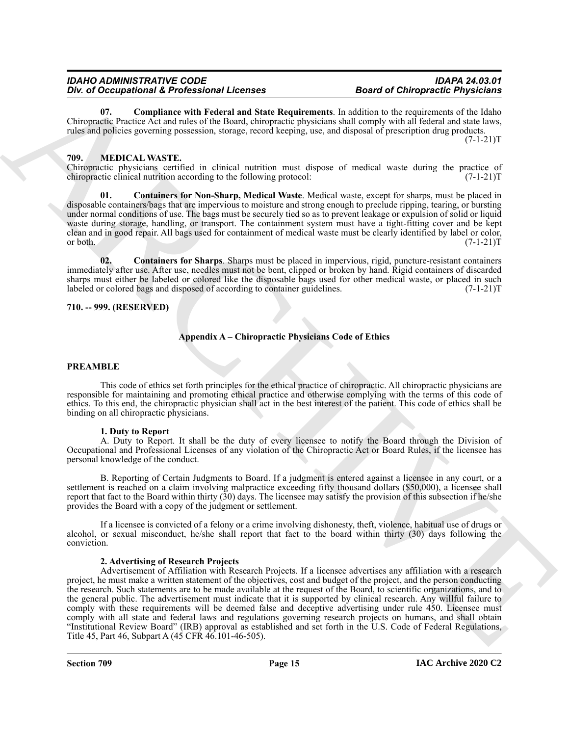<span id="page-14-2"></span>**07. Compliance with Federal and State Requirements**. In addition to the requirements of the Idaho Chiropractic Practice Act and rules of the Board, chiropractic physicians shall comply with all federal and state laws, rules and policies governing possession, storage, record keeping, use, and disposal of prescription drug products.  $(7-1-21)T$ 

#### <span id="page-14-3"></span><span id="page-14-0"></span>**709. MEDICAL WASTE.**

Chiropractic physicians certified in clinical nutrition must dispose of medical waste during the practice of chiropractic clinical nutrition according to the following protocol: (7-1-21) chiropractic clinical nutrition according to the following protocol:

<span id="page-14-4"></span>**01. Containers for Non-Sharp, Medical Waste**. Medical waste, except for sharps, must be placed in disposable containers/bags that are impervious to moisture and strong enough to preclude ripping, tearing, or bursting under normal conditions of use. The bags must be securely tied so as to prevent leakage or expulsion of solid or liquid waste during storage, handling, or transport. The containment system must have a tight-fitting cover and be kept clean and in good repair. All bags used for containment of medical waste must be clearly identified by label or color, or both.  $(7-1-21)T$ 

<span id="page-14-5"></span>**02. Containers for Sharps**. Sharps must be placed in impervious, rigid, puncture-resistant containers immediately after use. After use, needles must not be bent, clipped or broken by hand. Rigid containers of discarded sharps must either be labeled or colored like the disposable bags used for other medical waste, or placed in such labeled or colored bags and disposed of according to container guidelines. (7-1-21) labeled or colored bags and disposed of according to container guidelines.

#### <span id="page-14-1"></span>**710. -- 999. (RESERVED)**

#### **Appendix A – Chiropractic Physicians Code of Ethics**

#### **PREAMBLE**

This code of ethics set forth principles for the ethical practice of chiropractic. All chiropractic physicians are responsible for maintaining and promoting ethical practice and otherwise complying with the terms of this code of ethics. To this end, the chiropractic physician shall act in the best interest of the patient. This code of ethics shall be binding on all chiropractic physicians.

#### **1. Duty to Report**

A. Duty to Report. It shall be the duty of every licensee to notify the Board through the Division of Occupational and Professional Licenses of any violation of the Chiropractic Act or Board Rules, if the licensee has personal knowledge of the conduct.

B. Reporting of Certain Judgments to Board. If a judgment is entered against a licensee in any court, or a settlement is reached on a claim involving malpractice exceeding fifty thousand dollars (\$50,000), a licensee shall report that fact to the Board within thirty (30) days. The licensee may satisfy the provision of this subsection if he/she provides the Board with a copy of the judgment or settlement.

If a licensee is convicted of a felony or a crime involving dishonesty, theft, violence, habitual use of drugs or alcohol, or sexual misconduct, he/she shall report that fact to the board within thirty (30) days following the conviction.

#### **2. Advertising of Research Projects**

The of Decembent of Reference Interactions and the theoretical and the big and the state interaction of the theoretical physicistic Properties (a)  $\alpha$  and  $\alpha$  and  $\alpha$  and  $\alpha$  and  $\alpha$  and  $\alpha$  and  $\alpha$  and  $\alpha$  and  $\$ Advertisement of Affiliation with Research Projects. If a licensee advertises any affiliation with a research project, he must make a written statement of the objectives, cost and budget of the project, and the person conducting the research. Such statements are to be made available at the request of the Board, to scientific organizations, and to the general public. The advertisement must indicate that it is supported by clinical research. Any willful failure to comply with these requirements will be deemed false and deceptive advertising under rule 450. Licensee must comply with all state and federal laws and regulations governing research projects on humans, and shall obtain "Institutional Review Board" (IRB) approval as established and set forth in the U.S. Code of Federal Regulations, Title 45, Part 46, Subpart A (45 CFR 46.101-46-505).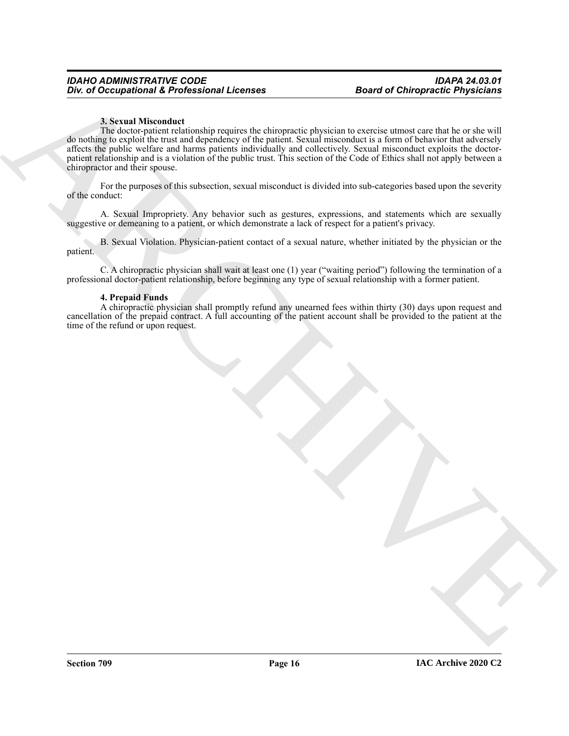#### **3. Sexual Misconduct**

The differential  $\vec{k}$  Foreign and Lie context.<br>
A result of the control of the control of the control of the control of the control of the control of the set of the control of the set of the control of the control of th The doctor-patient relationship requires the chiropractic physician to exercise utmost care that he or she will do nothing to exploit the trust and dependency of the patient. Sexual misconduct is a form of behavior that adversely affects the public welfare and harms patients individually and collectively. Sexual misconduct exploits the doctorpatient relationship and is a violation of the public trust. This section of the Code of Ethics shall not apply between a chiropractor and their spouse.

For the purposes of this subsection, sexual misconduct is divided into sub-categories based upon the severity of the conduct:

A. Sexual Impropriety. Any behavior such as gestures, expressions, and statements which are sexually suggestive or demeaning to a patient, or which demonstrate a lack of respect for a patient's privacy.

B. Sexual Violation. Physician-patient contact of a sexual nature, whether initiated by the physician or the patient.

C. A chiropractic physician shall wait at least one (1) year ("waiting period") following the termination of a professional doctor-patient relationship, before beginning any type of sexual relationship with a former patient.

#### **4. Prepaid Funds**

A chiropractic physician shall promptly refund any unearned fees within thirty (30) days upon request and cancellation of the prepaid contract. A full accounting of the patient account shall be provided to the patient at the time of the refund or upon request.